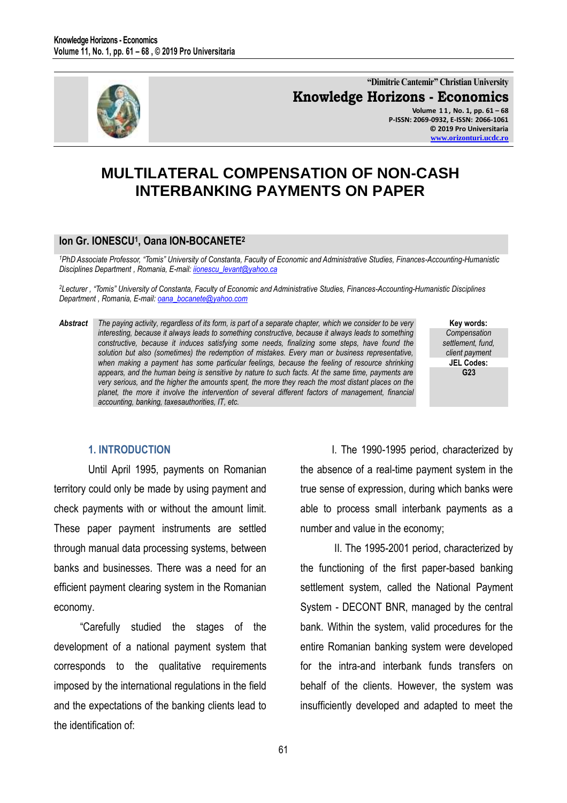

**"Dimitrie Cantemir" Christian University Knowledge Horizons - Economics Volume 1 1 , No. 1, pp. 61 – 68 P-ISSN: 2069-0932, E-ISSN: 2066-1061 © 2019 Pro Universitaria [www.orizonturi.ucdc.ro](http://www.orizonturi.ucdc.ro/)**

# **MULTILATERAL COMPENSATION OF NON-CASH INTERBANKING PAYMENTS ON PAPER**

# **Ion Gr. IONESCU<sup>1</sup> , Oana ION-BOCANETE<sup>2</sup>**

<sup>1</sup>PhD Associate Professor, "Tomis" University of Constanta, Faculty of Economic and Administrative Studies, Finances-Accounting-Humanistic *Disciplines Department , Romania, E-mail: [iionescu\\_levant@yahoo.ca](mailto:iionescu_levant@yahoo.ca)* 

<sup>2</sup>Lecturer, "Tomis" University of Constanta, Faculty of Economic and Administrative Studies, Finances-Accounting-Humanistic Disciplines *Department , Romania, E-mail: [oana\\_bocanete@yahoo.com](mailto:oana_bocanete@yahoo.com)* 

*Abstract The paying activity, regardless of its form, is part of a separate chapter, which we consider to be very interesting, because it always leads to something constructive, because it always leads to something constructive, because it induces satisfying some needs, finalizing some steps, have found the solution but also (sometimes) the redemption of mistakes. Every man or business representative, when making a payment has some particular feelings, because the feeling of resource shrinking appears, and the human being is sensitive by nature to such facts. At the same time, payments are very serious, and the higher the amounts spent, the more they reach the most distant places on the planet, the more it involve the intervention of several different factors of management, financial accounting, banking, taxesauthorities, IT, etc.* 

**Key words:** *Compensation settlement, fund, client payment* **JEL Codes: G23**

## **1. INTRODUCTION**

Until April 1995, payments on Romanian territory could only be made by using payment and check payments with or without the amount limit. These paper payment instruments are settled through manual data processing systems, between banks and businesses. There was a need for an efficient payment clearing system in the Romanian economy.

 "Carefully studied the stages of the development of a national payment system that corresponds to the qualitative requirements imposed by the international regulations in the field and the expectations of the banking clients lead to the identification of:

 I. The 1990-1995 period, characterized by the absence of a real-time payment system in the true sense of expression, during which banks were able to process small interbank payments as a number and value in the economy;

 II. The 1995-2001 period, characterized by the functioning of the first paper-based banking settlement system, called the National Payment System - DECONT BNR, managed by the central bank. Within the system, valid procedures for the entire Romanian banking system were developed for the intra-and interbank funds transfers on behalf of the clients. However, the system was insufficiently developed and adapted to meet the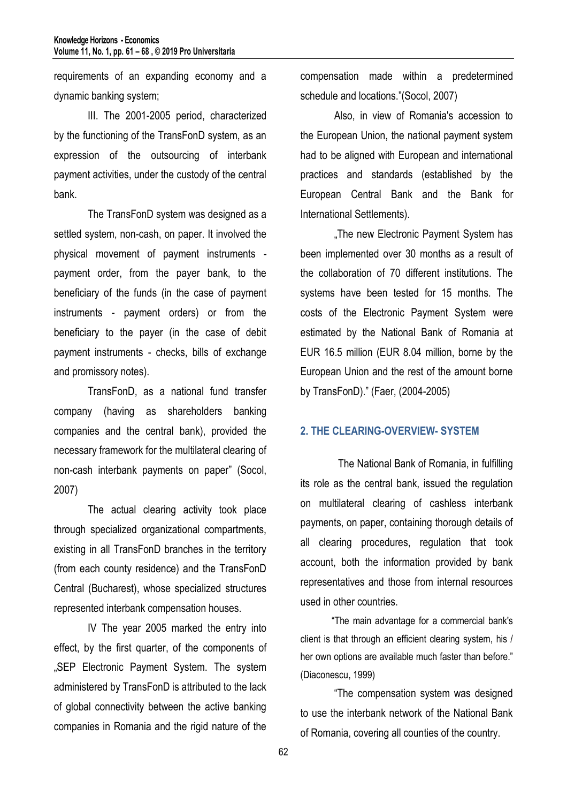requirements of an expanding economy and a dynamic banking system;

III. The 2001-2005 period, characterized by the functioning of the TransFonD system, as an expression of the outsourcing of interbank payment activities, under the custody of the central bank.

The TransFonD system was designed as a settled system, non-cash, on paper. It involved the physical movement of payment instruments payment order, from the payer bank, to the beneficiary of the funds (in the case of payment instruments - payment orders) or from the beneficiary to the payer (in the case of debit payment instruments - checks, bills of exchange and promissory notes).

TransFonD, as a national fund transfer company (having as shareholders banking companies and the central bank), provided the necessary framework for the multilateral clearing of non-cash interbank payments on paper" (Socol, 2007)

The actual clearing activity took place through specialized organizational compartments, existing in all TransFonD branches in the territory (from each county residence) and the TransFonD Central (Bucharest), whose specialized structures represented interbank compensation houses.

IV The year 2005 marked the entry into effect, by the first quarter, of the components of "SEP Electronic Payment System. The system administered by TransFonD is attributed to the lack of global connectivity between the active banking companies in Romania and the rigid nature of the

compensation made within a predetermined schedule and locations."(Socol, 2007)

Also, in view of Romania's accession to the European Union, the national payment system had to be aligned with European and international practices and standards (established by the European Central Bank and the Bank for International Settlements).

"The new Electronic Payment System has been implemented over 30 months as a result of the collaboration of 70 different institutions. The systems have been tested for 15 months. The costs of the Electronic Payment System were estimated by the National Bank of Romania at EUR 16.5 million (EUR 8.04 million, borne by the European Union and the rest of the amount borne by TransFonD)." (Faer, (2004-2005)

### **2. THE CLEARING-OVERVIEW- SYSTEM**

The National Bank of Romania, in fulfilling its role as the central bank, issued the regulation on multilateral clearing of cashless interbank payments, on paper, containing thorough details of all clearing procedures, regulation that took account, both the information provided by bank representatives and those from internal resources used in other countries.

 "The main advantage for a commercial bank's client is that through an efficient clearing system, his / her own options are available much faster than before." (Diaconescu, 1999)

"The compensation system was designed to use the interbank network of the National Bank of Romania, covering all counties of the country.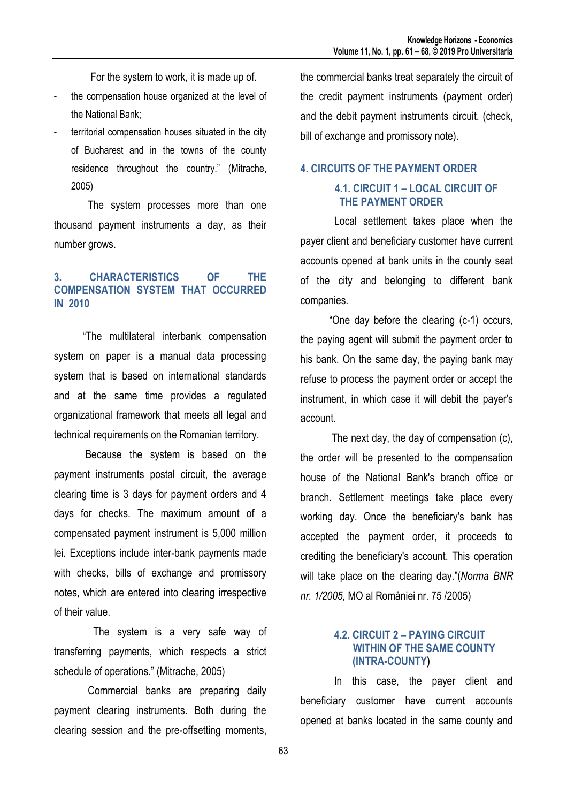For the system to work, it is made up of.

- the compensation house organized at the level of the National Bank;
- territorial compensation houses situated in the city of Bucharest and in the towns of the county residence throughout the country." (Mitrache, 2005)

The system processes more than one thousand payment instruments a day, as their number grows.

# **3. CHARACTERISTICS OF THE COMPENSATION SYSTEM THAT OCCURRED IN 2010**

 "The multilateral interbank compensation system on paper is a manual data processing system that is based on international standards and at the same time provides a regulated organizational framework that meets all legal and technical requirements on the Romanian territory.

 Because the system is based on the payment instruments postal circuit, the average clearing time is 3 days for payment orders and 4 days for checks. The maximum amount of a compensated payment instrument is 5,000 million lei. Exceptions include inter-bank payments made with checks, bills of exchange and promissory notes, which are entered into clearing irrespective of their value.

 The system is a very safe way of transferring payments, which respects a strict schedule of operations." (Mitrache, 2005)

 Commercial banks are preparing daily payment clearing instruments. Both during the clearing session and the pre-offsetting moments, the commercial banks treat separately the circuit of the credit payment instruments (payment order) and the debit payment instruments circuit. (check, bill of exchange and promissory note).

# **4. CIRCUITS OF THE PAYMENT ORDER 4.1. CIRCUIT 1 – LOCAL CIRCUIT OF THE PAYMENT ORDER**

 Local settlement takes place when the payer client and beneficiary customer have current accounts opened at bank units in the county seat of the city and belonging to different bank companies.

 "One day before the clearing (c-1) occurs, the paying agent will submit the payment order to his bank. On the same day, the paying bank may refuse to process the payment order or accept the instrument, in which case it will debit the payer's account.

 The next day, the day of compensation (c), the order will be presented to the compensation house of the National Bank's branch office or branch. Settlement meetings take place every working day. Once the beneficiary's bank has accepted the payment order, it proceeds to crediting the beneficiary's account. This operation will take place on the clearing day."(*Norma BNR nr. 1/2005,* MO al României nr. 75 /2005)

### **4.2. CIRCUIT 2 – PAYING CIRCUIT WITHIN OF THE SAME COUNTY (INTRA-COUNTY)**

In this case, the payer client and beneficiary customer have current accounts opened at banks located in the same county and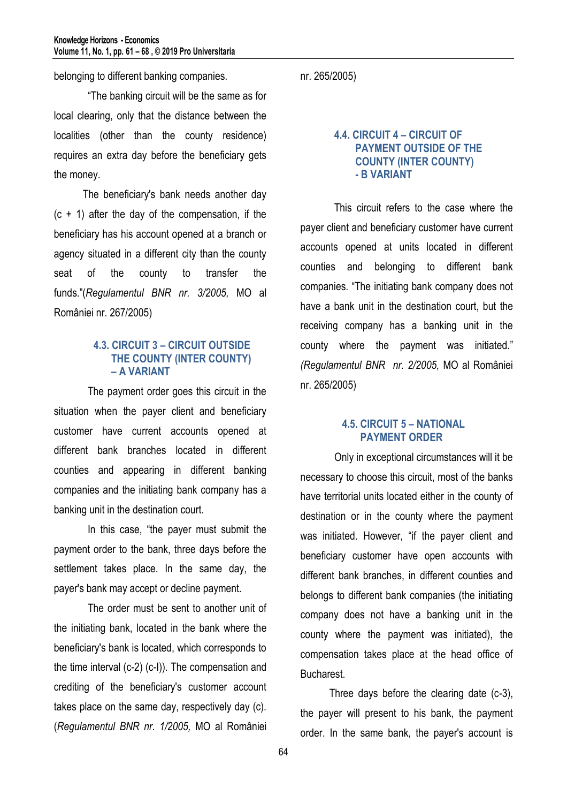belonging to different banking companies.

 "The banking circuit will be the same as for local clearing, only that the distance between the localities (other than the county residence) requires an extra day before the beneficiary gets the money.

 The beneficiary's bank needs another day  $(c + 1)$  after the day of the compensation, if the beneficiary has his account opened at a branch or agency situated in a different city than the county seat of the county to transfer the funds."(*Regulamentul BNR nr. 3/2005,* MO al României nr. 267/2005)

#### **4.3. CIRCUIT 3 – CIRCUIT OUTSIDE THE COUNTY (INTER COUNTY) – A VARIANT**

The payment order goes this circuit in the situation when the payer client and beneficiary customer have current accounts opened at different bank branches located in different counties and appearing in different banking companies and the initiating bank company has a banking unit in the destination court.

In this case, "the payer must submit the payment order to the bank, three days before the settlement takes place. In the same day, the payer's bank may accept or decline payment.

The order must be sent to another unit of the initiating bank, located in the bank where the beneficiary's bank is located, which corresponds to the time interval (c-2) (c-I)). The compensation and crediting of the beneficiary's customer account takes place on the same day, respectively day (c). (*Regulamentul BNR nr. 1/2005,* MO al României nr. 265/2005)

### **4.4. CIRCUIT 4 – CIRCUIT OF PAYMENT OUTSIDE OF THE COUNTY (INTER COUNTY) - B VARIANT**

This circuit refers to the case where the payer client and beneficiary customer have current accounts opened at units located in different counties and belonging to different bank companies. "The initiating bank company does not have a bank unit in the destination court, but the receiving company has a banking unit in the county where the payment was initiated." *(Regulamentul BNR nr. 2/2005,* MO al României nr. 265/2005)

### **4.5. CIRCUIT 5 – NATIONAL PAYMENT ORDER**

 Only in exceptional circumstances will it be necessary to choose this circuit, most of the banks have territorial units located either in the county of destination or in the county where the payment was initiated. However, "if the payer client and beneficiary customer have open accounts with different bank branches, in different counties and belongs to different bank companies (the initiating company does not have a banking unit in the county where the payment was initiated), the compensation takes place at the head office of Bucharest.

 Three days before the clearing date (c-3), the payer will present to his bank, the payment order. In the same bank, the payer's account is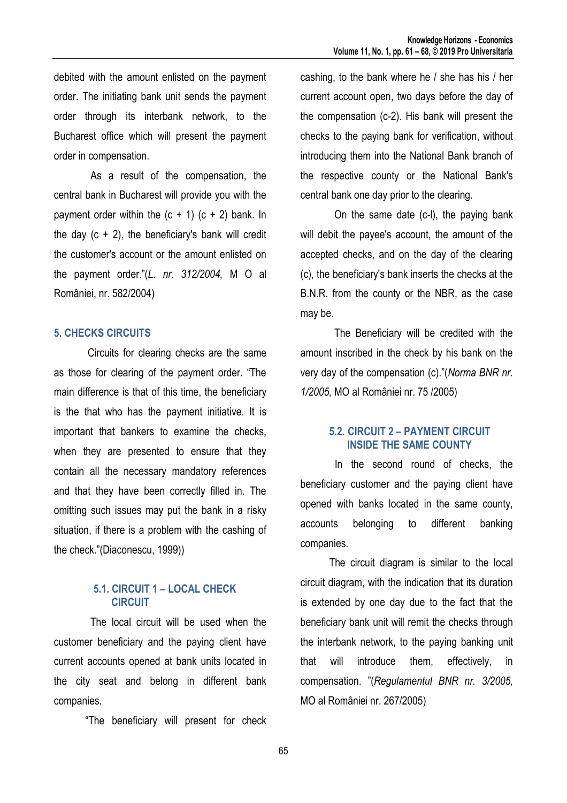debited with the amount enlisted on the payment order. The initiating bank unit sends the payment order through its interbank network, to the Bucharest office which will present the payment order in compensation.

 As a result of the compensation, the central bank in Bucharest will provide you with the payment order within the  $(c + 1)$   $(c + 2)$  bank. In the day  $(c + 2)$ , the beneficiary's bank will credit the customer's account or the amount enlisted on the payment order."(*L. nr. 312/2004,* M O al României, nr. 582/2004)

#### **5. CHECKS CIRCUITS**

Circuits for clearing checks are the same as those for clearing of the payment order. "The main difference is that of this time, the beneficiary is the that who has the payment initiative. It is important that bankers to examine the checks, when they are presented to ensure that they contain all the necessary mandatory references and that they have been correctly filled in. The omitting such issues may put the bank in a risky situation, if there is a problem with the cashing of the check."(Diaconescu, 1999))

## **5.1. CIRCUIT 1 – LOCAL CHECK CIRCUIT**

The local circuit will be used when the customer beneficiary and the paying client have current accounts opened at bank units located in the city seat and belong in different bank companies.

"The beneficiary will present for check

cashing, to the bank where he / she has his / her current account open, two days before the day of the compensation (c-2). His bank will present the checks to the paying bank for verification, without introducing them into the National Bank branch of the respective county or the National Bank's central bank one day prior to the clearing.

 On the same date (c-l), the paying bank will debit the payee's account, the amount of the accepted checks, and on the day of the clearing (c), the beneficiary's bank inserts the checks at the B.N.R. from the county or the NBR, as the case may be.

 The Beneficiary will be credited with the amount inscribed in the check by his bank on the very day of the compensation (c)."(*Norma BNR nr. 1/2005,* MO al României nr. 75 /2005)

#### **5.2. CIRCUIT 2 – PAYMENT CIRCUIT INSIDE THE SAME COUNTY**

In the second round of checks, the beneficiary customer and the paying client have opened with banks located in the same county, accounts belonging to different banking companies.

 The circuit diagram is similar to the local circuit diagram, with the indication that its duration is extended by one day due to the fact that the beneficiary bank unit will remit the checks through the interbank network, to the paying banking unit that will introduce them, effectively, in compensation. "(*Regulamentul BNR nr. 3/2005,*  MO al României nr. 267/2005)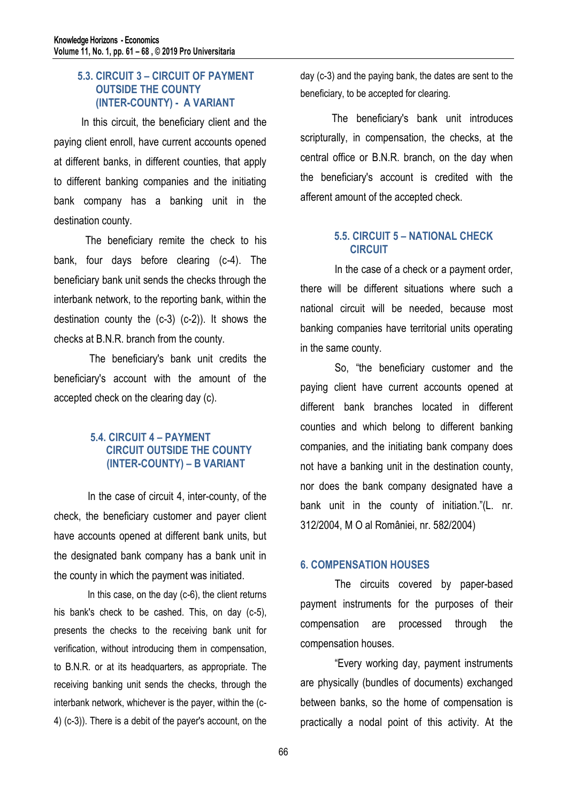### **5.3. CIRCUIT 3 – CIRCUIT OF PAYMENT OUTSIDE THE COUNTY (INTER-COUNTY) - A VARIANT**

 In this circuit, the beneficiary client and the paying client enroll, have current accounts opened at different banks, in different counties, that apply to different banking companies and the initiating bank company has a banking unit in the destination county.

 The beneficiary remite the check to his bank, four days before clearing (c-4). The beneficiary bank unit sends the checks through the interbank network, to the reporting bank, within the destination county the (c-3) (c-2)). It shows the checks at B.N.R. branch from the county.

 The beneficiary's bank unit credits the beneficiary's account with the amount of the accepted check on the clearing day (c).

# **5.4. CIRCUIT 4 – PAYMENT CIRCUIT OUTSIDE THE COUNTY (INTER-COUNTY) – B VARIANT**

In the case of circuit 4, inter-county, of the check, the beneficiary customer and payer client have accounts opened at different bank units, but the designated bank company has a bank unit in the county in which the payment was initiated.

In this case, on the day (c-6), the client returns his bank's check to be cashed. This, on day (c-5), presents the checks to the receiving bank unit for verification, without introducing them in compensation, to B.N.R. or at its headquarters, as appropriate. The receiving banking unit sends the checks, through the interbank network, whichever is the payer, within the (c-4) (c-3)). There is a debit of the payer's account, on the

day (c-3) and the paying bank, the dates are sent to the beneficiary, to be accepted for clearing.

 The beneficiary's bank unit introduces scripturally, in compensation, the checks, at the central office or B.N.R. branch, on the day when the beneficiary's account is credited with the afferent amount of the accepted check.

# **5.5. CIRCUIT 5 – NATIONAL CHECK CIRCUIT**

 In the case of a check or a payment order, there will be different situations where such a national circuit will be needed, because most banking companies have territorial units operating in the same county.

 So, "the beneficiary customer and the paying client have current accounts opened at different bank branches located in different counties and which belong to different banking companies, and the initiating bank company does not have a banking unit in the destination county, nor does the bank company designated have a bank unit in the county of initiation."(L. nr. 312/2004, M O al României, nr. 582/2004)

# **6. COMPENSATION HOUSES**

The circuits covered by paper-based payment instruments for the purposes of their compensation are processed through the compensation houses.

"Every working day, payment instruments are physically (bundles of documents) exchanged between banks, so the home of compensation is practically a nodal point of this activity. At the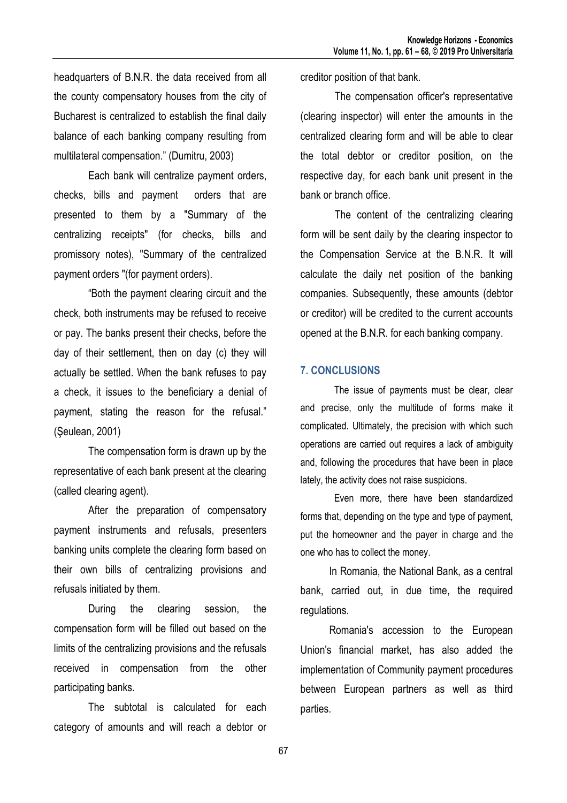headquarters of B.N.R. the data received from all the county compensatory houses from the city of Bucharest is centralized to establish the final daily balance of each banking company resulting from multilateral compensation." (Dumitru, 2003)

Each bank will centralize payment orders, checks, bills and payment orders that are presented to them by a "Summary of the centralizing receipts" (for checks, bills and promissory notes), "Summary of the centralized payment orders "(for payment orders).

"Both the payment clearing circuit and the check, both instruments may be refused to receive or pay. The banks present their checks, before the day of their settlement, then on day (c) they will actually be settled. When the bank refuses to pay a check, it issues to the beneficiary a denial of payment, stating the reason for the refusal." (Şeulean, 2001)

The compensation form is drawn up by the representative of each bank present at the clearing (called clearing agent).

After the preparation of compensatory payment instruments and refusals, presenters banking units complete the clearing form based on their own bills of centralizing provisions and refusals initiated by them.

During the clearing session, the compensation form will be filled out based on the limits of the centralizing provisions and the refusals received in compensation from the other participating banks.

The subtotal is calculated for each category of amounts and will reach a debtor or creditor position of that bank.

The compensation officer's representative (clearing inspector) will enter the amounts in the centralized clearing form and will be able to clear the total debtor or creditor position, on the respective day, for each bank unit present in the bank or branch office.

The content of the centralizing clearing form will be sent daily by the clearing inspector to the Compensation Service at the B.N.R. It will calculate the daily net position of the banking companies. Subsequently, these amounts (debtor or creditor) will be credited to the current accounts opened at the B.N.R. for each banking company.

#### **7. CONCLUSIONS**

The issue of payments must be clear, clear and precise, only the multitude of forms make it complicated. Ultimately, the precision with which such operations are carried out requires a lack of ambiguity and, following the procedures that have been in place lately, the activity does not raise suspicions.

Even more, there have been standardized forms that, depending on the type and type of payment, put the homeowner and the payer in charge and the one who has to collect the money.

 In Romania, the National Bank, as a central bank, carried out, in due time, the required regulations.

 Romania's accession to the European Union's financial market, has also added the implementation of Community payment procedures between European partners as well as third parties.